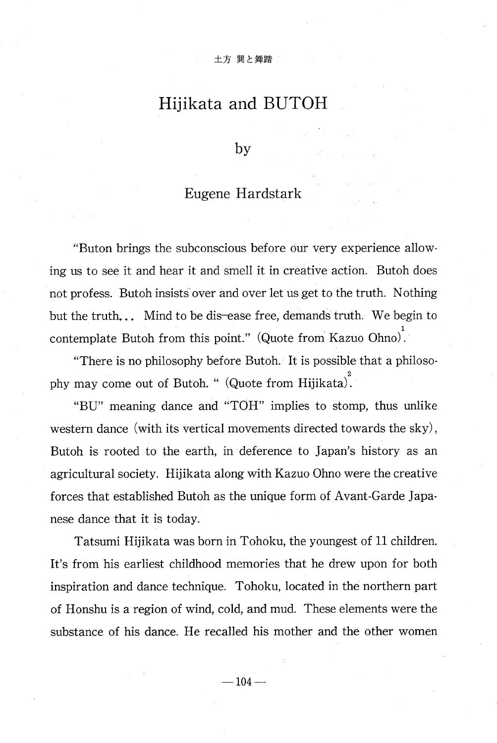## Hijikata and BUTOH

by

## Eugene Hardstark

"Buton brings the subconscious before our very experience allow ing us to see it and hear it and smell it in creative action. Butoh does not profess. Butoh insists over and over let us get to the truth. Nothing but the truth... Mind to be dis-ease free, demands truth. We begin to contemplate Butoh from this point." (Quote from Kazuo Ohno).

"There is no philosophy before Butoh. It is possible that a philosophy may come out of Butoh. " (Quote from Hijikata).

"BU" meaning dance and "TOH" implies to stomp, thus unlike western dance (with its vertical movements directed towards the sky) , Butoh is rooted to the earth, in deference to Japan's history as an agricultural society. Hijikata along with Kazuo Ohno were the creative forces that established Butoh as the unique form of Avant-Garde Japanese dance that it is today.

Tatsumi Hijikata was born in Tohoku, the youngest of 11 children. It's from his earliest childhood memories that he drew upon for both inspiration and dance technique. Tohoku, located in the northern part of Honshu is a region of wind, cold, and mud. These elements were the substance of his dance. He recalled his mother and the other women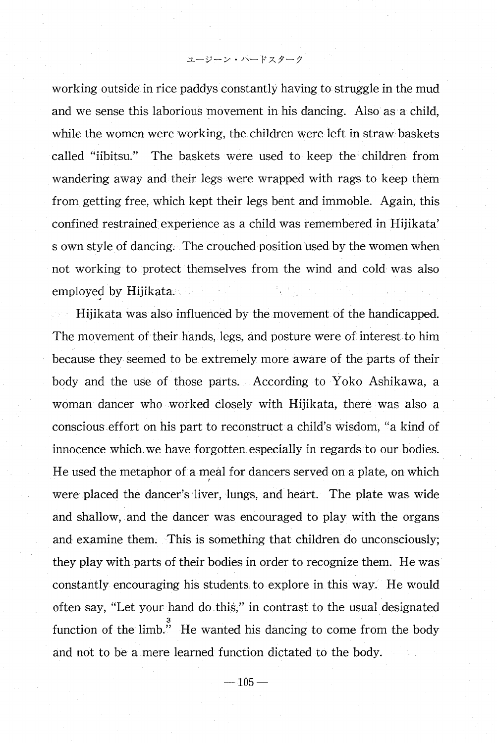ユージーン・パードスターク

working outside in rice paddys constantly having to struggle in the mud and we sense this laborious movement in his dancing. Also as a child, while the women were working, the children were left in straw baskets called "iibitsu." The baskets were used to keep the children from wandering away and their legs were wrapped with rags to keep them from getting free, which kept their legs bent and immoble. Again, this confined restrained experience as a child was remembered in Hijikata' s own style of dancing. The crouched position used by the women when not working to protect themselves from the wind and cold was also employed by Hijikata.

Hijikata was also influenced by the movement of the handicapped. The movement of their hands, legs, and posture were of interest to him because they seemed to be extremely more aware of the parts of their body and the use of those parts. According to Yoko Ashikawa, a woman dancer who worked closely with Hijikata, there was also a conscious effort on his part to reconstruct a child's wisdom, "a kind of innocence which we have forgotten especially in regards to our bodies. He used the metaphor of a meal for dancers served on a plate, on which were placed the dancer's liver, lungs, and heart. The plate was wide and shallow, and the dancer was encouraged to play with the organs and examine them. This is something that children do unconsciously; they play with parts of their bodies in order to recognize them. He was constantly encouraging his students to explore in this way. He would often say, "Let your hand do this," in contrast to the usual designated function of the limb." He wanted his dancing to come from the body and not to be a mere learned function dictated to the body.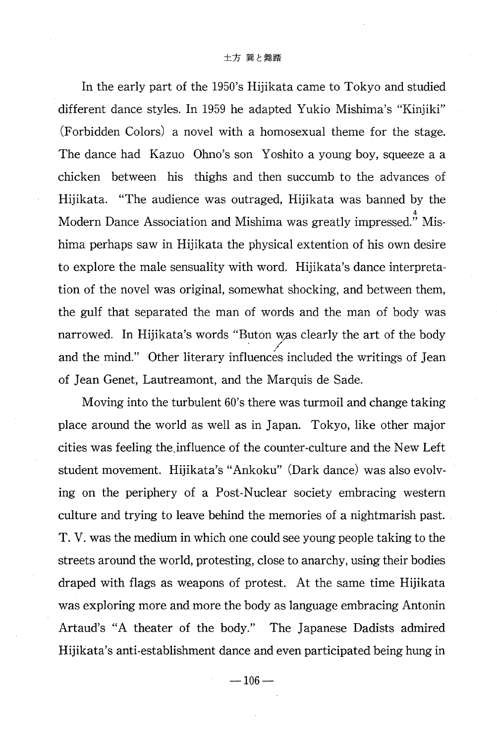In the early part of the 1950's Hijikata came to Tokyo and studied different dance styles. In 1959 he adapted Yukio Mishima's "Kinjiki" (Forbidden Colors) a novel with a homosexual theme for the stage. The dance had Kazuo Ohno's son Yoshito a young boy, squeeze a a chicken between his thighs and then succumb to the advances of Hijikata. "The audience was outraged, Hijikata was banned by the Modern Dance Association and Mishima was greatly impressed." Mishima perhaps saw in Hijikata the physical extention of his own desire to explore the male sensuality with word. Hijikata's dance interpretation of the novel was original, somewhat shocking, and between them, the gulf that separated the man of words and the man of body was narrowed. In Hijikata's words "Buton was clearly the art of the body and the mind." Other literary influences included the writings of Jean of Jean Genet, Lautreamont, and the Marquis de Sade.

Moving into the turbulent 60's there was turmoil and change taking place around the world as well as in Japan. Tokyo, like other major cities was feeling the\_influence of the counter-culture and the New Left student movement. Hijikata's "Ankoku" (Dark dance) was also evolving on the periphery of a Post-Nuclear society embracing western culture and trying to leave behind the memories of a nightmarish past. T. V. was the medium in which one could see young people taking to the streets around the world, protesting, close to anarchy, using their bodies draped with flags as weapons of protest. At the same time Hijikata was exploring more and more the body as language embracing Antonin Artaud's "A theater of the body." The Japanese Dadists admired Hijikata's anti-establishment dance and even participated being hung in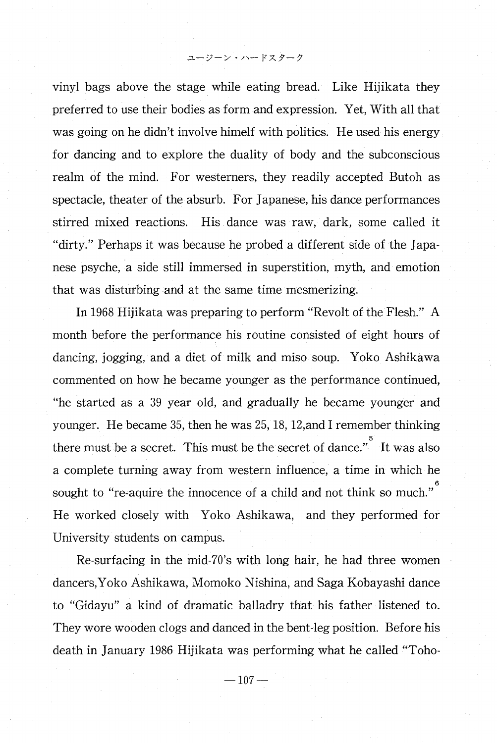ユージーン・ハードスターク

vinyl bags above the stage while eating bread. Like Hijikata they preferred to use their bodies as form and expression. Yet, With all that was going on he didn't involve himelf with politics. He used his energy for dancing and to explore the duality of body and the subconscious realm of the mind. For westerners, they readily accepted Butoh as spectacle, theater of the absurb. For Japanese, his dance performances stirred mixed reactions. His dance was raw, dark, some called it "dirty." Perhaps it was because he probed a different side of the Japanese psyche, a side still immersed in superstition, myth, and emotion that was disturbing and at the same time mesmerizing.

In 1968 Hijikata was preparing to perform "Revolt of the Flesh." A month before the performance his routine consisted of eight hours of dancing, jogging, and a diet of milk and miso soup. Yoko Ashikawa commented on how he became younger as the performance continued, "he started as a 39 year old, and gradually he became younger and younger. He became 35, then he was 25, 18, 12,and I remember thinking there must be a secret. This must be the secret of dance." It was also a complete turning away from western influence, a time in which he sought to "re-aquire the innocence of a child and not think so much." He worked closely with Yoko Ashikawa, and they performed for University students on campus.

Re-surfacing in the mid-70's with long hair, he had three women dancers,Yoko Ashikawa, Momoko Nishina, and Saga Kobayashi dance to "Gidayu" a kind of dramatic balladry that his father listened to. They wore wooden clogs and danced in the bent-leg position. Before his death in January 1986 Hijikata was performing what he called "Toho-

 $-107-$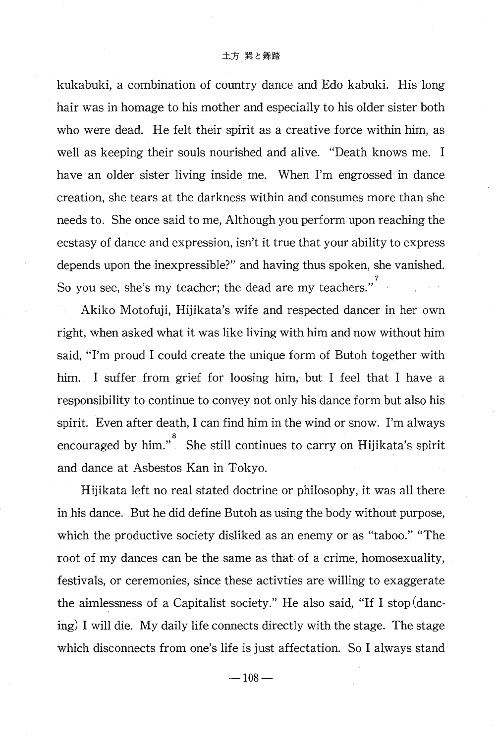## 土方 巽と舞踏

kukabuki, a combination of country dance and Edo kabuki. His long hair was in homage to his mother and especially to his older sister both who were dead. He felt their spirit as a creative force within him, as well as keeping their souls nourished and alive. "Death knows me. I have an older sister living inside me. When I'm engrossed in dance creation, she tears at the darkness within and consumes more than she needs to. She once said to me, Although you perform upon reaching the ecstasy of dance and expression, isn't it true that your ability to express depends upon the inexpressible?" and having thus spoken, she vanished. So you see, she's my teacher; the dead are my teachers."

Akiko Motofuji, Hijikata's wife and respected dancer in her own right, when asked what it was like living with him and now without him said, "I'm proud I could create the unique form of Butoh together with him. I suffer from grief for loosing him, but I feel that I have a responsibility to continue to convey not only his dance form but also his spirit. Even after death, I can find him in the wind or snow. I'm always encouraged by him." She still continues to carry on Hijikata's spirit and dance at Asbestos Kan in Tokyo.

Hijikata left no real stated doctrine or philosophy, it was all there in his dance. But he did define Butoh as using the body without purpose, which the productive society disliked as an enemy or as "taboo." "The root of my dances can be the same as that of a crime, homosexuality, festivals, or ceremonies, since these activties are willing to exaggerate the aimlessness of a Capitalist society." He also said, "If I stop (dancing) I will die. My daily life connects directly with the stage. The stage which disconnects from one's life is just affectation. So I always stand

 $-108-$